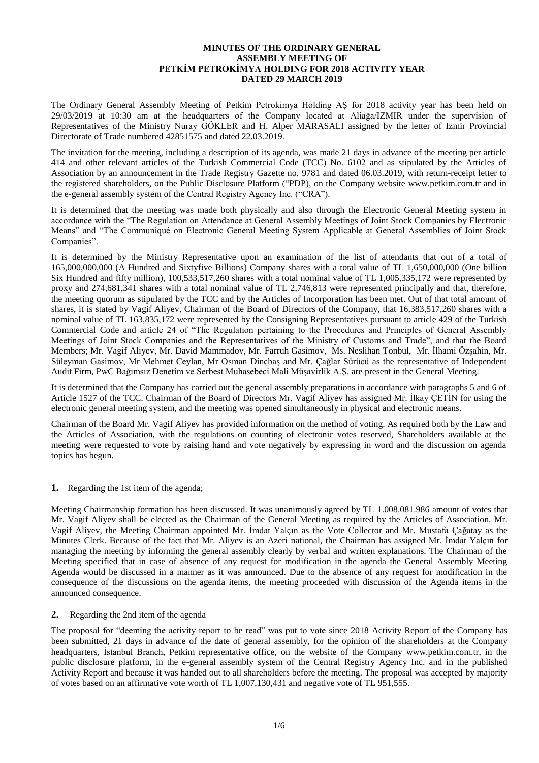# **MINUTES OF THE ORDINARY GENERAL ASSEMBLY MEETING OF PETKİM PETROKİMYA HOLDING FOR 2018 ACTIVITY YEAR DATED 29 MARCH 2019**

The Ordinary General Assembly Meeting of Petkim Petrokimya Holding AŞ for 2018 activity year has been held on 29/03/2019 at 10:30 am at the headquarters of the Company located at Aliağa/IZMIR under the supervision of Representatives of the Ministry Nuray GÖKLER and H. Alper MARASALI assigned by the letter of Izmir Provincial Directorate of Trade numbered 42851575 and dated 22.03.2019.

The invitation for the meeting, including a description of its agenda, was made 21 days in advance of the meeting per article 414 and other relevant articles of the Turkish Commercial Code (TCC) No. 6102 and as stipulated by the Articles of Association by an announcement in the Trade Registry Gazette no. 9781 and dated 06.03.2019, with return-receipt letter to the registered shareholders, on the Public Disclosure Platform ("PDP), on the Company website www.petkim.com.tr and in the e-general assembly system of the Central Registry Agency Inc. ("CRA").

It is determined that the meeting was made both physically and also through the Electronic General Meeting system in accordance with the "The Regulation on Attendance at General Assembly Meetings of Joint Stock Companies by Electronic Means" and "The Communiqué on Electronic General Meeting System Applicable at General Assemblies of Joint Stock Companies".

It is determined by the Ministry Representative upon an examination of the list of attendants that out of a total of 165,000,000,000 (A Hundred and Sixtyfive Billions) Company shares with a total value of TL 1,650,000,000 (One billion Six Hundred and fifty million), 100,533,517,260 shares with a total nominal value of TL 1,005,335,172 were represented by proxy and 274,681,341 shares with a total nominal value of TL 2,746,813 were represented principally and that, therefore, the meeting quorum as stipulated by the TCC and by the Articles of Incorporation has been met. Out of that total amount of shares, it is stated by Vagif Aliyev, Chairman of the Board of Directors of the Company, that 16,383,517,260 shares with a nominal value of TL 163,835,172 were represented by the Consigning Representatives pursuant to article 429 of the Turkish Commercial Code and article 24 of "The Regulation pertaining to the Procedures and Principles of General Assembly Meetings of Joint Stock Companies and the Representatives of the Ministry of Customs and Trade", and that the Board Members; Mr. Vagif Aliyev, Mr. David Mammadov, Mr. Farruh Gasimov, Ms. Neslihan Tonbul, Mr. İlhami Özşahin, Mr. Süleyman Gasimov, Mr Mehmet Ceylan, Mr Osman Dinçbaş and Mr. Çağlar Sürücü as the representative of Independent Audit Firm, PwC Bağımsız Denetim ve Serbest Muhasebeci Mali Müşavirlik A.Ş. are present in the General Meeting.

It is determined that the Company has carried out the general assembly preparations in accordance with paragraphs 5 and 6 of Article 1527 of the TCC. Chairman of the Board of Directors Mr. Vagif Aliyev has assigned Mr. İlkay ÇETİN for using the electronic general meeting system, and the meeting was opened simultaneously in physical and electronic means.

Chairman of the Board Mr. Vagif Aliyev has provided information on the method of voting. As required both by the Law and the Articles of Association, with the regulations on counting of electronic votes reserved, Shareholders available at the meeting were requested to vote by raising hand and vote negatively by expressing in word and the discussion on agenda topics has begun.

**1.** Regarding the 1st item of the agenda;

Meeting Chairmanship formation has been discussed. It was unanimously agreed by TL 1.008.081.986 amount of votes that Mr. Vagif Aliyev shall be elected as the Chairman of the General Meeting as required by the Articles of Association. Mr. Vagif Aliyev, the Meeting Chairman appointed Mr. İmdat Yalçın as the Vote Collector and Mr. Mustafa Çağatay as the Minutes Clerk. Because of the fact that Mr. Aliyev is an Azeri national, the Chairman has assigned Mr. İmdat Yalçın for managing the meeting by informing the general assembly clearly by verbal and written explanations. The Chairman of the Meeting specified that in case of absence of any request for modification in the agenda the General Assembly Meeting Agenda would be discussed in a manner as it was announced. Due to the absence of any request for modification in the consequence of the discussions on the agenda items, the meeting proceeded with discussion of the Agenda items in the announced consequence.

### **2.** Regarding the 2nd item of the agenda

The proposal for "deeming the activity report to be read" was put to vote since 2018 Activity Report of the Company has been submitted, 21 days in advance of the date of general assembly, for the opinion of the shareholders at the Company headquarters, İstanbul Branch, Petkim representative office, on the website of the Company www.petkim.com.tr, in the public disclosure platform, in the e-general assembly system of the Central Registry Agency Inc. and in the published Activity Report and because it was handed out to all shareholders before the meeting. The proposal was accepted by majority of votes based on an affirmative vote worth of TL 1,007,130,431 and negative vote of TL 951,555.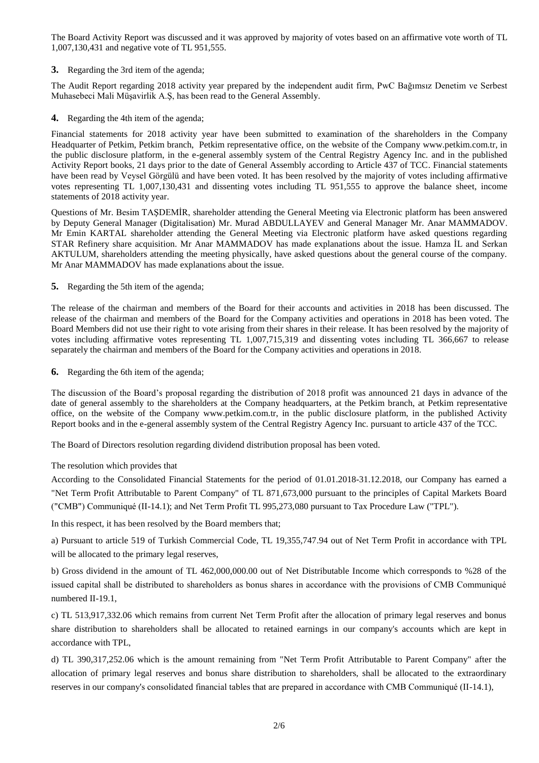The Board Activity Report was discussed and it was approved by majority of votes based on an affirmative vote worth of TL 1,007,130,431 and negative vote of TL 951,555.

**3.** Regarding the 3rd item of the agenda;

The Audit Report regarding 2018 activity year prepared by the independent audit firm, PwC Bağımsız Denetim ve Serbest Muhasebeci Mali Müşavirlik A.Ş, has been read to the General Assembly.

**4.** Regarding the 4th item of the agenda;

Financial statements for 2018 activity year have been submitted to examination of the shareholders in the Company Headquarter of Petkim, Petkim branch, Petkim representative office, on the website of the Company www.petkim.com.tr, in the public disclosure platform, in the e-general assembly system of the Central Registry Agency Inc. and in the published Activity Report books, 21 days prior to the date of General Assembly according to Article 437 of TCC. Financial statements have been read by Veysel Görgülü and have been voted. It has been resolved by the majority of votes including affirmative votes representing TL 1,007,130,431 and dissenting votes including TL 951,555 to approve the balance sheet, income statements of 2018 activity year.

Questions of Mr. Besim TAŞDEMİR, shareholder attending the General Meeting via Electronic platform has been answered by Deputy General Manager (Digitalisation) Mr. Murad ABDULLAYEV and General Manager Mr. Anar MAMMADOV. Mr Emin KARTAL shareholder attending the General Meeting via Electronic platform have asked questions regarding STAR Refinery share acquisition. Mr Anar MAMMADOV has made explanations about the issue. Hamza İL and Serkan AKTULUM, shareholders attending the meeting physically, have asked questions about the general course of the company. Mr Anar MAMMADOV has made explanations about the issue.

**5.** Regarding the 5th item of the agenda;

The release of the chairman and members of the Board for their accounts and activities in 2018 has been discussed. The release of the chairman and members of the Board for the Company activities and operations in 2018 has been voted. The Board Members did not use their right to vote arising from their shares in their release. It has been resolved by the majority of votes including affirmative votes representing TL 1,007,715,319 and dissenting votes including TL 366,667 to release separately the chairman and members of the Board for the Company activities and operations in 2018.

**6.** Regarding the 6th item of the agenda;

The discussion of the Board's proposal regarding the distribution of 2018 profit was announced 21 days in advance of the date of general assembly to the shareholders at the Company headquarters, at the Petkim branch, at Petkim representative office, on the website of the Company www.petkim.com.tr, in the public disclosure platform, in the published Activity Report books and in the e-general assembly system of the Central Registry Agency Inc. pursuant to article 437 of the TCC.

The Board of Directors resolution regarding dividend distribution proposal has been voted.

The resolution which provides that

According to the Consolidated Financial Statements for the period of 01.01.2018-31.12.2018, our Company has earned a "Net Term Profit Attributable to Parent Company" of TL 871,673,000 pursuant to the principles of Capital Markets Board ("CMB") Communiqué (II-14.1); and Net Term Profit TL 995,273,080 pursuant to Tax Procedure Law ("TPL").

In this respect, it has been resolved by the Board members that;

a) Pursuant to article 519 of Turkish Commercial Code, TL 19,355,747.94 out of Net Term Profit in accordance with TPL will be allocated to the primary legal reserves,

b) Gross dividend in the amount of TL 462,000,000.00 out of Net Distributable Income which corresponds to %28 of the issued capital shall be distributed to shareholders as bonus shares in accordance with the provisions of CMB Communiqué numbered II-19.1,

c) TL 513,917,332.06 which remains from current Net Term Profit after the allocation of primary legal reserves and bonus share distribution to shareholders shall be allocated to retained earnings in our company's accounts which are kept in accordance with TPL,

d) TL 390,317,252.06 which is the amount remaining from "Net Term Profit Attributable to Parent Company" after the allocation of primary legal reserves and bonus share distribution to shareholders, shall be allocated to the extraordinary reserves in our company's consolidated financial tables that are prepared in accordance with CMB Communiqué (II-14.1),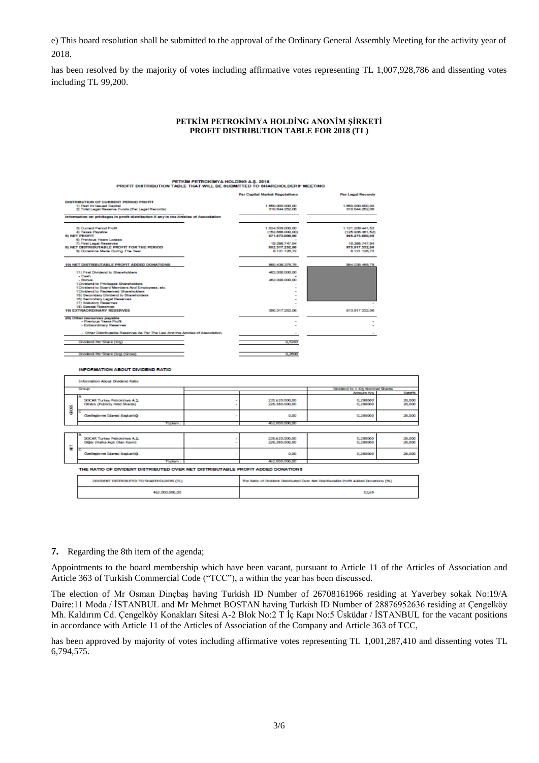e) This board resolution shall be submitted to the approval of the Ordinary General Assembly Meeting for the activity year of 2018.

has been resolved by the majority of votes including affirmative votes representing TL 1,007,928,786 and dissenting votes including TL 99,200.

# **PETKİM PETROKİMYA HOLDİNG ANONİM ŞİRKETİ PROFIT DISTRIBUTION TABLE FOR 2018 (TL)**

| PETKIM PETROKIMYA HOLDING A.S. 2018<br>PROFIT DISTRIBUTION TABLE THAT WILL BE SUBMITTED TO SHAREHOLDERS' MEETING |                                                                                        |                |                                                                                     |                                    |                      |  |
|------------------------------------------------------------------------------------------------------------------|----------------------------------------------------------------------------------------|----------------|-------------------------------------------------------------------------------------|------------------------------------|----------------------|--|
|                                                                                                                  |                                                                                        |                | <b>Per Capital Market Regulations</b>                                               | <b>Per Legal Records</b>           |                      |  |
|                                                                                                                  | DISTRIBUTION OF CURRENT PERIOD PROFIT                                                  |                |                                                                                     |                                    |                      |  |
|                                                                                                                  | 1) Paid In/ Issued Capital                                                             |                | 1.650,000,000.00<br>310 644 252 08                                                  | 1,650,000,000,00<br>310.644.252.06 |                      |  |
| 2) Total Legal Reserve Funds (Per Legal Records)                                                                 |                                                                                        |                |                                                                                     |                                    |                      |  |
|                                                                                                                  | Information on privileges in profit distribution if any in the Articles of Association |                |                                                                                     |                                    |                      |  |
|                                                                                                                  | 3) Current Pariod Profit                                                               |                | 1,024,539,000.00                                                                    | 1.121.209.441.52                   |                      |  |
| 4) Taxas Payable<br><b>51 NET PROFIT</b>                                                                         |                                                                                        |                | (152.866.000.00)<br>871.673.000.00                                                  | (125,936,361,52)<br>995.273.080,00 |                      |  |
|                                                                                                                  | 6) Previous Years Losses                                                               |                |                                                                                     |                                    |                      |  |
| 7) First Legal Reserves<br><b>8) NET DISTRIBUTABLE PROFIT FOR THE PERIOD</b>                                     |                                                                                        |                | 19.355.747.94<br>882.317.252.06                                                     | 19.355.747.94<br>975.917.332.06    |                      |  |
| 9) Donations Made During The Year                                                                                |                                                                                        |                | 8.121.128.72                                                                        | 8.121.126.72                       |                      |  |
|                                                                                                                  | 10) NET DISTRIBUTABLE PROFIT ADDED DONATIONS                                           | 860 438 378 78 | 984.038.458.78                                                                      |                                    |                      |  |
| 11) First Dividend to Shareholders                                                                               |                                                                                        |                | 482,000,000,00                                                                      |                                    |                      |  |
|                                                                                                                  | $-$ Cash<br>- Borus<br>1Dividend to Privileged Shareholders                            |                | 462,000,000.00                                                                      |                                    |                      |  |
|                                                                                                                  | 1Dividend to Board Members And Employees, etc.                                         |                |                                                                                     |                                    |                      |  |
|                                                                                                                  | 1Dividend to Redeemed Shareholders<br>15) Secondary Dividend to Shareholders           |                |                                                                                     |                                    |                      |  |
|                                                                                                                  | 16) Secondary Legal Reserves                                                           |                |                                                                                     |                                    |                      |  |
|                                                                                                                  | 17) Statutory Reserves                                                                 |                |                                                                                     |                                    |                      |  |
| 18) Special Reserves<br><b>19) EXTRAORDINARY RESERVES</b>                                                        |                                                                                        |                | 390.317.252.08                                                                      | 513.917.332.06                     |                      |  |
| 20) Other resources payable                                                                                      |                                                                                        |                |                                                                                     |                                    |                      |  |
|                                                                                                                  | - Previous Years Profit<br>- Extraordinary Reserves                                    |                |                                                                                     |                                    |                      |  |
|                                                                                                                  | - Other Distributable Reserves As Par The Law And the Articles of Association.         |                |                                                                                     |                                    |                      |  |
|                                                                                                                  |                                                                                        |                |                                                                                     |                                    |                      |  |
|                                                                                                                  | Dividend Per Share (Krs)                                                               |                | 0,5283                                                                              |                                    |                      |  |
|                                                                                                                  |                                                                                        |                |                                                                                     |                                    |                      |  |
| Dividend Per Share (krs) (Gross)                                                                                 |                                                                                        |                | 0.2800                                                                              |                                    |                      |  |
|                                                                                                                  | <b>INFORMATION ABOUT DIVIDEND RATIO</b>                                                |                |                                                                                     |                                    |                      |  |
|                                                                                                                  | Information About Dividend Ratio                                                       |                |                                                                                     |                                    |                      |  |
|                                                                                                                  | Group                                                                                  |                |                                                                                     | Dividend to 1 Krs Nominal Shares   | Rate <sup>n</sup> s. |  |
|                                                                                                                  |                                                                                        |                |                                                                                     | Amount Krs                         |                      |  |
|                                                                                                                  | SOCAR Turkey Petrokinya A.S.<br>Others (Publicly Held Shares)                          |                | 235.620.000,00<br>226.380.000,00                                                    | 0,280000<br>0,280000               | 28,000<br>28,000     |  |
| geog                                                                                                             |                                                                                        |                |                                                                                     |                                    |                      |  |
|                                                                                                                  | Ozeleştirme İdaresi Başkanlığı                                                         |                | 0.00                                                                                | 0.280000                           | 28,000               |  |
|                                                                                                                  | <b>TOOMTO:</b>                                                                         |                | 462.000.000.00                                                                      |                                    |                      |  |
|                                                                                                                  |                                                                                        |                |                                                                                     |                                    |                      |  |
|                                                                                                                  | SOCAR Turkey Petrokimya A.S.                                                           |                | 235.620.000,00                                                                      | 0,280000                           | 28,000               |  |
|                                                                                                                  | Diğer (Halka Açık Olan Kısım)                                                          |                | 226.380.000,00                                                                      | 0,280000                           | 28,000               |  |
| ₹                                                                                                                | Ozelleştirme İdaresi Başkanlığı                                                        |                | 0,00                                                                                | 0,280000                           | 28,000               |  |
|                                                                                                                  | Toplam:                                                                                |                | 462.000.000.00                                                                      |                                    |                      |  |
|                                                                                                                  | THE RATIO OF DIVIDENT DISTRIBUTED OVER NET DISTRIBUTABLE PROFIT ADDED DONATIONS        |                |                                                                                     |                                    |                      |  |
|                                                                                                                  | DIVIDENT DISTRIBUTED TO SHAREHOLDERS (TL)                                              |                | The Ratio of Divident Distributed Over Net Distributable Profit Added Donations (%) |                                    |                      |  |
|                                                                                                                  | 462.000.000.00                                                                         |                | 53.69                                                                               |                                    |                      |  |

**7.** Regarding the 8th item of the agenda;

Appointments to the board membership which have been vacant, pursuant to Article 11 of the Articles of Association and Article 363 of Turkish Commercial Code ("TCC"), a within the year has been discussed.

The election of Mr Osman Dinçbaş having Turkish ID Number of 26708161966 residing at Yaverbey sokak No:19/A Daire:11 Moda / İSTANBUL and Mr Mehmet BOSTAN having Turkish ID Number of 28876952636 residing at Çengelköy Mh. Kaldırım Cd. Çengelköy Konakları Sitesi A-2 Blok No:2 T İç Kapı No:5 Üsküdar / İSTANBUL for the vacant positions in accordance with Article 11 of the Articles of Association of the Company and Article 363 of TCC,

has been approved by majority of votes including affirmative votes representing TL 1,001,287,410 and dissenting votes TL 6,794,575.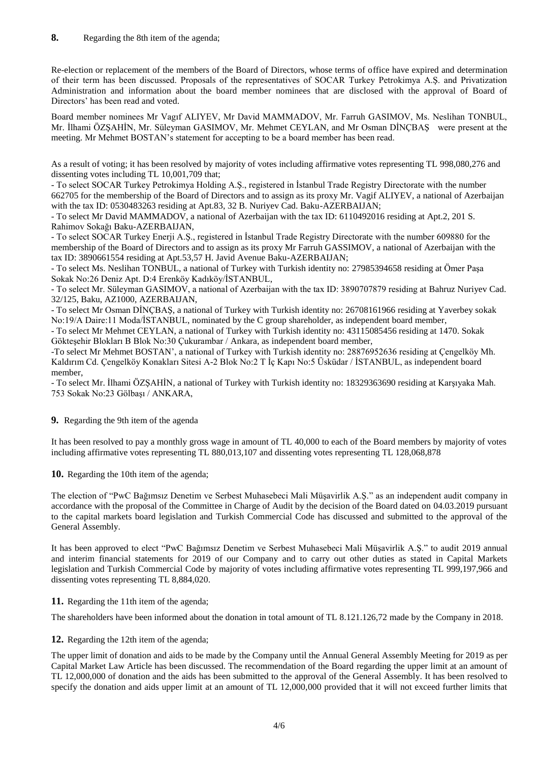Re-election or replacement of the members of the Board of Directors, whose terms of office have expired and determination of their term has been discussed. Proposals of the representatives of SOCAR Turkey Petrokimya A.Ş. and Privatization Administration and information about the board member nominees that are disclosed with the approval of Board of Directors' has been read and voted.

Board member nominees Mr Vagıf ALIYEV, Mr David MAMMADOV, Mr. Farruh GASIMOV, Ms. Neslihan TONBUL, Mr. [İlhami ÖZŞAHİN,](http://www.petkim.com.tr/PopUp/popup_yonetim-ozgecmis_ilhamiOZSAHIN.html) Mr. Süleyman GASIMOV, Mr. [Mehmet CEYLAN,](http://www.petkim.com.tr/PopUp/popup_yonetim-ozgecmis_MehmetCeylan_v3.html) and Mr Osman DİNÇBAŞ were present at the meeting. Mr Mehmet BOSTAN's statement for accepting to be a board member has been read.

As a result of voting; it has been resolved by majority of votes including affirmative votes representing TL 998,080,276 and dissenting votes including TL 10,001,709 that;

- To select SOCAR Turkey Petrokimya Holding A.Ş., registered in İstanbul Trade Registry Directorate with the number 662705 for the membership of the Board of Directors and to assign as its proxy Mr. Vagif ALIYEV, a national of Azerbaijan with the tax ID: 0530483263 residing at Apt.83, 32 B. Nurivey Cad. Baku-AZERBAIJAN;

- To select Mr David MAMMADOV, a national of Azerbaijan with the tax ID: 6110492016 residing at Apt.2, 201 S. Rahimov Sokağı Baku-AZERBAIJAN,

- To select SOCAR Turkey Enerji A.Ş., registered in İstanbul Trade Registry Directorate with the number 609880 for the membership of the Board of Directors and to assign as its proxy Mr Farruh GASSIMOV, a national of Azerbaijan with the tax ID: 3890661554 residing at Apt.53,57 H. Javid Avenue Baku-AZERBAIJAN;

- To select Ms. Neslihan TONBUL, a national of Turkey with Turkish identity no: 27985394658 residing at Ömer Paşa Sokak No:26 Deniz Apt. D:4 Erenköy Kadıköy/İSTANBUL,

- To select Mr. Süleyman GASIMOV, a national of Azerbaijan with the tax ID: 3890707879 residing at Bahruz Nuriyev Cad. 32/125, Baku, AZ1000, AZERBAIJAN,

- To select Mr [Osman DİNÇBAŞ,](http://www.petkim.com.tr/PopUp/OsmanDincbas_cv.html) a national of Turkey with Turkish identity no: 26708161966 residing at Yaverbey sokak No:19/A Daire:11 Moda/İSTANBUL, nominated by the C group shareholder, as independent board member,

- To select Mr [Mehmet CEYLAN,](http://www.petkim.com.tr/PopUp/popup_yonetim-ozgecmis_MehmetCeylan_v3.html) a national of Turkey with Turkish identity no: 43115085456 residing at 1470. Sokak Gökteşehir Blokları B Blok No:30 Çukurambar / Ankara, as independent board member,

-To select M[r Mehmet BOSTAN'](http://www.petkim.com.tr/PopUp/popup_yonetim-ozgecmis_MehmetCeylan_v3.html), a national of Turkey with Turkish identity no: 28876952636 residing at Çengelköy Mh. Kaldırım Cd. Çengelköy Konakları Sitesi A-2 Blok No:2 T İç Kapı No:5 Üsküdar / İSTANBUL, as independent board member,

- To select Mr. İlhami ÖZŞAHİN, a national of Turkey with Turkish identity no: 18329363690 residing at Karşıyaka Mah. 753 Sokak No:23 Gölbaşı / ANKARA,

# **9.** Regarding the 9th item of the agenda

It has been resolved to pay a monthly gross wage in amount of TL 40,000 to each of the Board members by majority of votes including affirmative votes representing TL 880,013,107 and dissenting votes representing TL 128,068,878

**10.** Regarding the 10th item of the agenda;

The election of "PwC Bağımsız Denetim ve Serbest Muhasebeci Mali Müşavirlik A.Ş." as an independent audit company in accordance with the proposal of the Committee in Charge of Audit by the decision of the Board dated on 04.03.2019 pursuant to the capital markets board legislation and Turkish Commercial Code has discussed and submitted to the approval of the General Assembly.

It has been approved to elect "PwC Bağımsız Denetim ve Serbest Muhasebeci Mali Müşavirlik A.Ş." to audit 2019 annual and interim financial statements for 2019 of our Company and to carry out other duties as stated in Capital Markets legislation and Turkish Commercial Code by majority of votes including affirmative votes representing TL 999,197,966 and dissenting votes representing TL 8,884,020.

### **11.** Regarding the 11th item of the agenda;

The shareholders have been informed about the donation in total amount of TL 8.121.126,72 made by the Company in 2018.

### **12.** Regarding the 12th item of the agenda;

The upper limit of donation and aids to be made by the Company until the Annual General Assembly Meeting for 2019 as per Capital Market Law Article has been discussed. The recommendation of the Board regarding the upper limit at an amount of TL 12,000,000 of donation and the aids has been submitted to the approval of the General Assembly. It has been resolved to specify the donation and aids upper limit at an amount of TL 12,000,000 provided that it will not exceed further limits that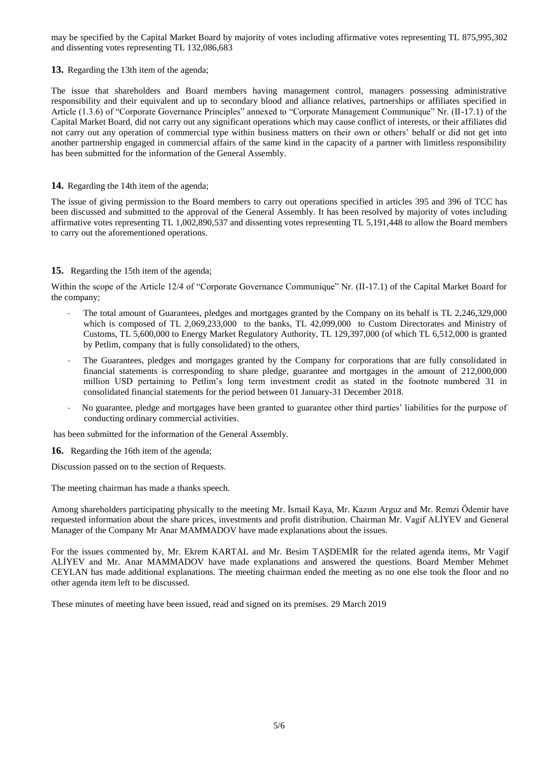may be specified by the Capital Market Board by majority of votes including affirmative votes representing TL 875,995,302 and dissenting votes representing TL 132,086,683

**13.** Regarding the 13th item of the agenda;

The issue that shareholders and Board members having management control, managers possessing administrative responsibility and their equivalent and up to secondary blood and alliance relatives, partnerships or affiliates specified in Article (1.3.6) of "Corporate Governance Principles" annexed to "Corporate Management Communique" Nr. (II-17.1) of the Capital Market Board, did not carry out any significant operations which may cause conflict of interests, or their affiliates did not carry out any operation of commercial type within business matters on their own or others' behalf or did not get into another partnership engaged in commercial affairs of the same kind in the capacity of a partner with limitless responsibility has been submitted for the information of the General Assembly.

# **14.** Regarding the 14th item of the agenda;

The issue of giving permission to the Board members to carry out operations specified in articles 395 and 396 of TCC has been discussed and submitted to the approval of the General Assembly. It has been resolved by majority of votes including affirmative votes representing TL 1,002,890,537 and dissenting votes representing TL 5,191,448 to allow the Board members to carry out the aforementioned operations.

# **15.** Regarding the 15th item of the agenda;

Within the scope of the Article 12/4 of "Corporate Governance Communique" Nr. (II-17.1) of the Capital Market Board for the company;

- The total amount of Guarantees, pledges and mortgages granted by the Company on its behalf is TL 2,246,329,000 which is composed of TL 2,069,233,000 to the banks, TL 42,099,000 to Custom Directorates and Ministry of Customs, TL 5,600,000 to Energy Market Regulatory Authority, TL 129,397,000 (of which TL 6,512,000 is granted by Petlim, company that is fully consolidated) to the others,
- The Guarantees, pledges and mortgages granted by the Company for corporations that are fully consolidated in financial statements is corresponding to share pledge, guarantee and mortgages in the amount of 212,000,000 million USD pertaining to Petlim's long term investment credit as stated in the footnote numbered 31 in consolidated financial statements for the period between 01 January-31 December 2018.
- No guarantee, pledge and mortgages have been granted to guarantee other third parties' liabilities for the purpose of conducting ordinary commercial activities.

has been submitted for the information of the General Assembly.

**16.** Regarding the 16th item of the agenda;

Discussion passed on to the section of Requests.

The meeting chairman has made a thanks speech.

Among shareholders participating physically to the meeting Mr. İsmail Kaya, Mr. Kazım Arguz and Mr. Remzi Ödemir have requested information about the share prices, investments and profit distribution. Chairman Mr. Vagif ALİYEV and General Manager of the Company Mr Anar MAMMADOV have made explanations about the issues.

For the issues commented by, Mr. Ekrem KARTAL and Mr. Besim TAŞDEMİR for the related agenda items, Mr Vagif ALİYEV and Mr. Anar MAMMADOV have made explanations and answered the questions. Board Member Mehmet CEYLAN has made additional explanations. The meeting chairman ended the meeting as no one else took the floor and no other agenda item left to be discussed.

These minutes of meeting have been issued, read and signed on its premises. 29 March 2019